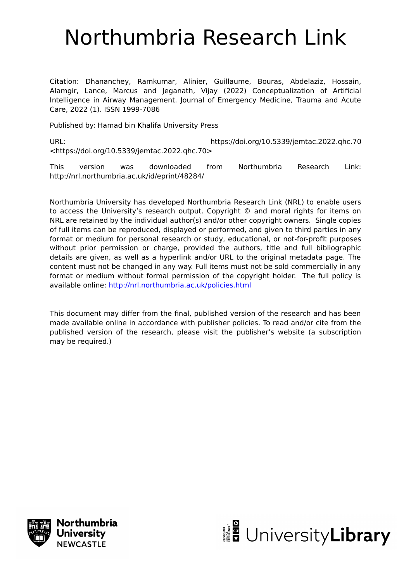# Northumbria Research Link

Citation: Dhananchey, Ramkumar, Alinier, Guillaume, Bouras, Abdelaziz, Hossain, Alamgir, Lance, Marcus and Jeganath, Vijay (2022) Conceptualization of Artificial Intelligence in Airway Management. Journal of Emergency Medicine, Trauma and Acute Care, 2022 (1). ISSN 1999-7086

Published by: Hamad bin Khalifa University Press

URL: https://doi.org/10.5339/jemtac.2022.qhc.70 <https://doi.org/10.5339/jemtac.2022.qhc.70>

This version was downloaded from Northumbria Research Link: http://nrl.northumbria.ac.uk/id/eprint/48284/

Northumbria University has developed Northumbria Research Link (NRL) to enable users to access the University's research output. Copyright © and moral rights for items on NRL are retained by the individual author(s) and/or other copyright owners. Single copies of full items can be reproduced, displayed or performed, and given to third parties in any format or medium for personal research or study, educational, or not-for-profit purposes without prior permission or charge, provided the authors, title and full bibliographic details are given, as well as a hyperlink and/or URL to the original metadata page. The content must not be changed in any way. Full items must not be sold commercially in any format or medium without formal permission of the copyright holder. The full policy is available online:<http://nrl.northumbria.ac.uk/policies.html>

This document may differ from the final, published version of the research and has been made available online in accordance with publisher policies. To read and/or cite from the published version of the research, please visit the publisher's website (a subscription may be required.)



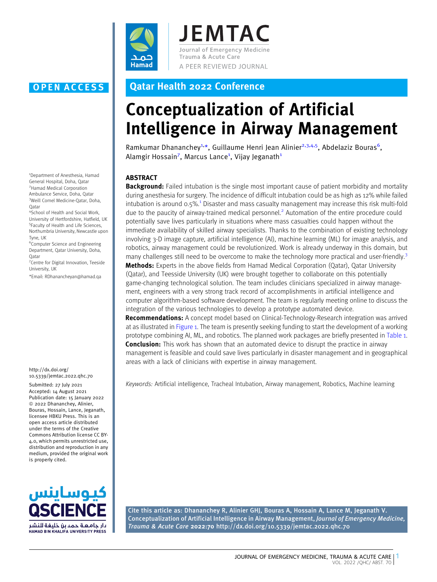

**JEMTAC** Journal of Emergency Medicine Trauma & Acute Care A PEER REVIEWED JOURNAL

1 Department of Anesthesia, Hamad General Hospital, Doha, Qatar 2 Hamad Medical Corporation Ambulance Service, Doha, Qatar 3 Weill Cornel Medicine-Qatar, Doha, Qatar

4 School of Health and Social Work, University of Hertfordshire, Hatfield, UK 5 Faculty of Health and Life Sciences, Northumbria University, Newcastle upon Tyne, UK

6 Computer Science and Engineering Department, Qatar University, Doha, **O**atar

7 Centre for Digital Innovation, Teeside University, UK

\*Email: RDhanancheyan@hamad.qa

#### http://dx.doi.org/ 10.5339/jemtac.2022.qhc.70

Submitted: 27 July 2021 Accepted: 14 August 2021 Publication date: 15 January 2022 <sup>©</sup> 2022 Dhananchey, Alinier, Bouras, Hossain, Lance, Jeganath, licensee HBKU Press. This is an open access article distributed under the terms of the Creative Commons Attribution license CC BY-4.0, which permits unrestricted use, distribution and reproduction in any medium, provided the original work is properly cited.



### OPEN ACCESS Qatar Health 2022 Conference

## Conceptualization of Artificial Intelligence in Airway Management

Ramkumar Dhananchey<sup>1,\*</sup>, Guillaume Henri Jean Alinier<sup>2,3,4,5</sup>, Abdelaziz Bouras<sup>6</sup>, Alamgir Hossain<sup>7</sup>, Marcus Lance<sup>1</sup>, Vijay Jeganath<sup>1</sup>

#### ABSTRACT

**Background:** Failed intubation is the single most important cause of patient morbidity and mortality during anesthesia for surgery. The incidence of difficult intubation could be as high as 12% while failed intubation is around 0.5%.[1](#page-2-0) [Disaster and mass casualty management may increase this risk multi-fold](#page-2-0) [due](#page-2-0) [to](#page-2-0) [the](#page-2-0) [paucity](#page-2-0) [of](#page-2-0) [airway-trained](#page-2-0) [medical](#page-2-0) [personnel.](#page-2-0)<sup>2</sup> [Automation of the entire procedure could](#page-2-0) [potentially save lives particularly in situations where mass casualties could happen without the](#page-2-0) [immediate availability of skilled airway specialists. Thanks to the combination of existing technology](#page-2-0) [involving 3-D image capture, artificial intelligence \(AI\), machine learning \(ML\) for image analysis, and](#page-2-0) [robotics, airway management could be revolutionized. Work is already underway in this domain, but](#page-2-0) [many](#page-2-0) [challenges](#page-2-0) [still](#page-2-0) [need](#page-2-0) [to](#page-2-0) [be](#page-2-0) [overcome](#page-2-0) to [make](#page-2-0) [the](#page-2-0) [technology](#page-2-0) [more](#page-2-0) [practical](#page-2-0) [and](#page-2-0) [user-friendly.](#page-2-0)<sup>3</sup> **[Me](#page-2-0)thods:** [Experts in the above fields from Hamad Medical Corporation \(Qatar\), Qatar University](#page-2-0) [\(Qatar\), and Teesside University \(UK\) were brought together to collaborate on this potentially](#page-2-0) [game-changing technological solution. The team includes clinicians specialized in airway manage](#page-2-0)[ment, engineers with a very strong track record of accomplishments in artificial intelligence and](#page-2-0) [computer algorithm-based software development. The team is regularly meeting online to discuss the](#page-2-0) [integration of the various technologies to develop a prototype automated device.](#page-2-0)

[Re](#page-2-0)commendations: [A concept model based on Clinical-Technology-Research integration was arrived](#page-2-0) at as illustrated in [Figure 1. The team is presently seeking funding to start the development of a working](#page-2-0) [prototype combining AI, ML, and robotics. The planned work packages are briefly presented in](#page-2-0) Table 1. **[Co](#page-2-0)nclusion:** [This work has shown that an automated device to disrupt the practice in airway](#page-2-0) [management is feasible and could save lives particularly in disaster management and in geographical](#page-2-0) [areas with a lack of clinicians with expertise in airway management.](#page-2-0)

Keywords: Artificial intelligence, Tracheal Intubation, Airway management, Robotics, Machine learning

Cite this article as: Dhananchey R, Alinier GHJ, Bouras A, Hossain A, Lance M, Jeganath V. Conceptualization of Artificial Intelligence in Airway Management, Journal of Emergency Medicine, Trauma & Acute Care 2022:70 http://dx.doi.org/10.5339/jemtac.2022.qhc.70